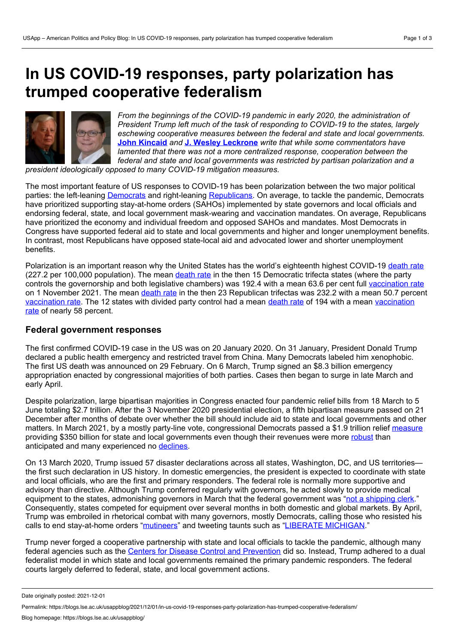# **In US COVID-19 responses, party polarization has trumped cooperative federalism**



*From the beginnings of the COVID-19 pandemic in early 2020, the administration of President Trump left much of the task of responding to COVID-19 to the states, largely eschewing cooperative measures between the federal and state and local governments.* **John [Kincaid](https://wp.me/p3I2YF-bll#Author)** *and* **J. Wesley [Leckrone](https://wp.me/p3I2YF-bll#Author)** *write that while some commentators have lamented that there was not a more centralized response, cooperation between the federal and state and local governments was restricted by partisan polarization and a*

*president ideologically opposed to many COVID-19 mitigation measures.*

The most important feature of US responses to COVID-19 has been polarization between the two major political parties: the left-leaning [Democrats](https://democrats.org/) and right-leaning [Republicans](https://www.gop.com/). On average, to tackle the pandemic, Democrats have prioritized supporting stay-at-home orders (SAHOs) implemented by state governors and local officials and endorsing federal, state, and local government mask-wearing and vaccination mandates. On average, Republicans have prioritized the economy and individual freedom and opposed SAHOs and mandates. Most Democrats in Congress have supported federal aid to state and local governments and higher and longer unemployment benefits. In contrast, most Republicans have opposed state-local aid and advocated lower and shorter unemployment benefits.

Polarization is an important reason why the United States has the world's eighteenth highest COVID-19 [death](https://coronavirus.jhu.edu/data/mortality) rate (227.2 per 100,000 population). The mean [death](https://www.kff.org/other/state-indicator/cumulative-covid-19-cases-and-deaths/?currentTimeframe=0&selectedDistributions=covid-19-deaths-per-1000000-population&sortModel=%257B%2522colId%2522:%2522Location%2522,%2522sort%2522:%2522asc%2522%257D) rate in the then 15 Democratic trifecta states (where the party controls the governorship and both legislative chambers) was 192.4 with a mean 63.6 per cent full [vaccination](https://www.mayoclinic.org/coronavirus-covid-19/vaccine-tracker) rate on 1 November 2021. The mean [death](https://www.kff.org/other/state-indicator/cumulative-covid-19-cases-and-deaths/?currentTimeframe=0&selectedDistributions=covid-19-deaths-per-1000000-population&sortModel=%257B%2522colId%2522:%2522Location%2522,%2522sort%2522:%2522asc%2522%257D) rate in the then 23 Republican trifectas was 232.2 with a mean 50.7 percent [vaccination](https://www.mayoclinic.org/coronavirus-covid-19/vaccine-tracker) rate. The 12 states with divided party control had a mean [death](https://www.kff.org/other/state-indicator/cumulative-covid-19-cases-and-deaths/?currentTimeframe=0&selectedDistributions=covid-19-deaths-per-1000000-population&sortModel=%257B%2522colId%2522:%2522Location%2522,%2522sort%2522:%2522asc%2522%257D) rate of 194 with a mean vaccination rate of nearly 58 percent.

## **Federal government responses**

The first confirmed COVID-19 case in the US was on 20 January 2020. On 31 January, President Donald Trump declared a public health emergency and restricted travel from China. Many Democrats labeled him xenophobic. The first US death was announced on 29 February. On 6 March, Trump signed an \$8.3 billion emergency appropriation enacted by congressional majorities of both parties. Cases then began to surge in late March and early April.

Despite polarization, large bipartisan majorities in Congress enacted four pandemic relief bills from 18 March to 5 June totaling \$2.7 trillion. After the 3 November 2020 presidential election, a fifth bipartisan measure passed on 21 December after months of debate over whether the bill should include aid to state and local governments and other matters. In March 2021, by a mostly party-line vote, congressional Democrats passed a \$1.9 trillion relief [measure](https://home.treasury.gov/news/featured-stories/fact-sheet-the-american-rescue-plan-will-deliver-immediate-economic-relief-to-families) providing \$350 billion for state and local governments even though their revenues were more [robust](https://www.gao.gov/blog/how-did-state-and-local-governments-fare-during-pandemic) than anticipated and many experienced no [declines.](https://www.wsj.com/articles/covid-19s-hit-to-state-and-local-revenues-is-smaller-than-many-feared-11612706030)

On 13 March 2020, Trump issued 57 disaster declarations across all states, Washington, DC, and US territories the first such declaration in US history. In domestic emergencies, the president is expected to coordinate with state and local officials, who are the first and primary responders. The federal role is normally more supportive and advisory than directive. Although Trump conferred regularly with governors, he acted slowly to provide medical equipment to the states, admonishing governors in March that the federal government was "not a [shipping](https://www.politico.com/news/2020/03/19/trump-governors-coronavirus-medical-supplies-137658) clerk." Consequently, states competed for equipment over several months in both domestic and global markets. By April, Trump was embroiled in rhetorical combat with many governors, mostly Democrats, calling those who resisted his calls to end stay-at-home orders "[mutineers](https://www.latimes.com/world-nation/story/2020-04-14/coronavirus-trump-governors-reopen-covid-deaths)" and tweeting taunts such as "LIBERATE [MICHIGAN](https://www.detroitnews.com/story/news/politics/2020/04/17/trump-tweets-liberate-michigan-other-states-democratic-governors/5152037002/)."

Trump never forged a cooperative partnership with state and local officials to tackle the pandemic, although many federal agencies such as the Centers for Disease Control and [Prevention](https://www.cdc.gov/) did so. Instead, Trump adhered to a dual federalist model in which state and local governments remained the primary pandemic responders. The federal courts largely deferred to federal, state, and local government actions.

Date originally posted: 2021-12-01

Permalink: https://blogs.lse.ac.uk/usappblog/2021/12/01/in-us-covid-19-responses-party-polarization-has-trumped-cooperative-federalism/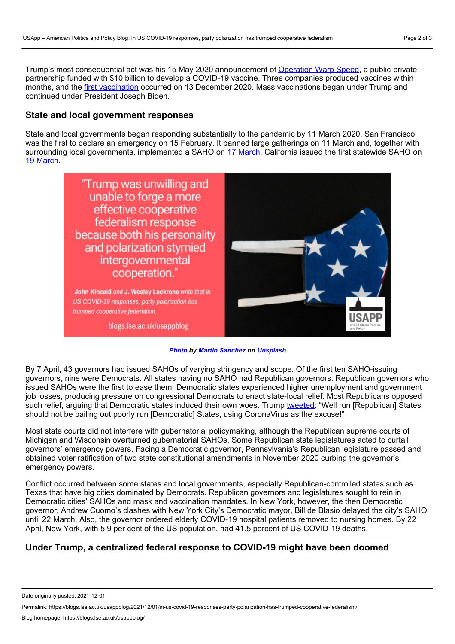Trump's most consequential act was his 15 May 2020 announcement of [Operation](https://www.gao.gov/products/gao-21-319) Warp Speed, a public-private partnership funded with \$10 billion to develop a COVID-19 vaccine. Three companies produced vaccines within months, and the first [vaccination](https://www.bbc.com/news/world-us-canada-55305720) occurred on 13 December 2020. Mass vaccinations began under Trump and continued under President Joseph Biden.

## **State and local government responses**

State and local governments began responding substantially to the pandemic by 11 March 2020. San Francisco was the first to declare an emergency on 15 February. It banned large gatherings on 11 March and, together with surrounding local governments, implemented a SAHO on 17 [March](https://sf.gov/news/sf-responds-coronavirus-outbreak-stay-home-order). California issued the first statewide SAHO on 19 [March](https://calmatters.org/health/coronavirus/2021/03/timeline-california-pandemic-year-key-points/).



## *[Photo](https://unsplash.com/photos/OQWu-hk7pKo) by Martin [Sanchez](https://unsplash.com/@martinsanchez?utm_source=unsplash&utm_medium=referral&utm_content=creditCopyText) on [Unsplash](https://unsplash.com/?utm_source=unsplash&utm_medium=referral&utm_content=creditCopyText)*

By 7 April, 43 governors had issued SAHOs of varying stringency and scope. Of the first ten SAHO-issuing governors, nine were Democrats. All states having no SAHO had Republican governors. Republican governors who issued SAHOs were the first to ease them. Democratic states experienced higher unemployment and government job losses, producing pressure on congressional Democrats to enact state-local relief. Most Republicans opposed such relief, arguing that Democratic states induced their own woes. Trump [tweeted](https://www.nbcnews.com/politics/donald-trump/trump-says-only-blue-states-have-budget-woes-he-couldn-n1200666): "Well run [Republican] States should not be bailing out poorly run [Democratic] States, using CoronaVirus as the excuse!"

Most state courts did not interfere with gubernatorial policymaking, although the Republican supreme courts of Michigan and Wisconsin overturned gubernatorial SAHOs. Some Republican state legislatures acted to curtail governors' emergency powers. Facing a Democratic governor, Pennsylvania's Republican legislature passed and obtained voter ratification of two state constitutional amendments in November 2020 curbing the governor's emergency powers.

Conflict occurred between some states and local governments, especially Republican-controlled states such as Texas that have big cities dominated by Democrats. Republican governors and legislatures sought to rein in Democratic cities' SAHOs and mask and vaccination mandates. In New York, however, the then Democratic governor, Andrew Cuomo's clashes with New York City's Democratic mayor, Bill de Blasio delayed the city's SAHO until 22 March. Also, the governor ordered elderly COVID-19 hospital patients removed to nursing homes. By 22 April, New York, with 5.9 per cent of the US population, had 41.5 percent of US COVID-19 deaths.

# **Under Trump, a centralized federal response to COVID-19 might have been doomed**

Date originally posted: 2021-12-01

Permalink: https://blogs.lse.ac.uk/usappblog/2021/12/01/in-us-covid-19-responses-party-polarization-has-trumped-cooperative-federalism/